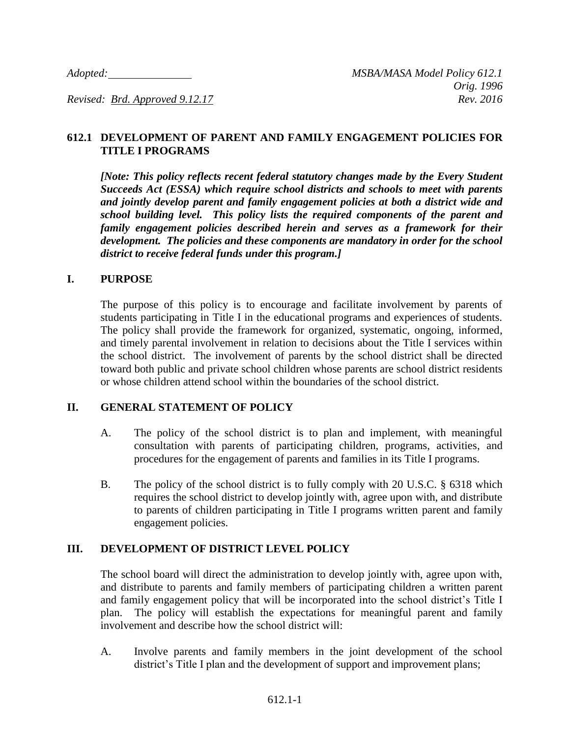### **612.1 DEVELOPMENT OF PARENT AND FAMILY ENGAGEMENT POLICIES FOR TITLE I PROGRAMS**

*[Note: This policy reflects recent federal statutory changes made by the Every Student Succeeds Act (ESSA) which require school districts and schools to meet with parents and jointly develop parent and family engagement policies at both a district wide and school building level. This policy lists the required components of the parent and family engagement policies described herein and serves as a framework for their development. The policies and these components are mandatory in order for the school district to receive federal funds under this program.]*

#### **I. PURPOSE**

The purpose of this policy is to encourage and facilitate involvement by parents of students participating in Title I in the educational programs and experiences of students. The policy shall provide the framework for organized, systematic, ongoing, informed, and timely parental involvement in relation to decisions about the Title I services within the school district. The involvement of parents by the school district shall be directed toward both public and private school children whose parents are school district residents or whose children attend school within the boundaries of the school district.

### **II. GENERAL STATEMENT OF POLICY**

- A. The policy of the school district is to plan and implement, with meaningful consultation with parents of participating children, programs, activities, and procedures for the engagement of parents and families in its Title I programs.
- B. The policy of the school district is to fully comply with 20 U.S.C. § 6318 which requires the school district to develop jointly with, agree upon with, and distribute to parents of children participating in Title I programs written parent and family engagement policies.

### **III. DEVELOPMENT OF DISTRICT LEVEL POLICY**

The school board will direct the administration to develop jointly with, agree upon with, and distribute to parents and family members of participating children a written parent and family engagement policy that will be incorporated into the school district's Title I plan. The policy will establish the expectations for meaningful parent and family involvement and describe how the school district will:

A. Involve parents and family members in the joint development of the school district's Title I plan and the development of support and improvement plans;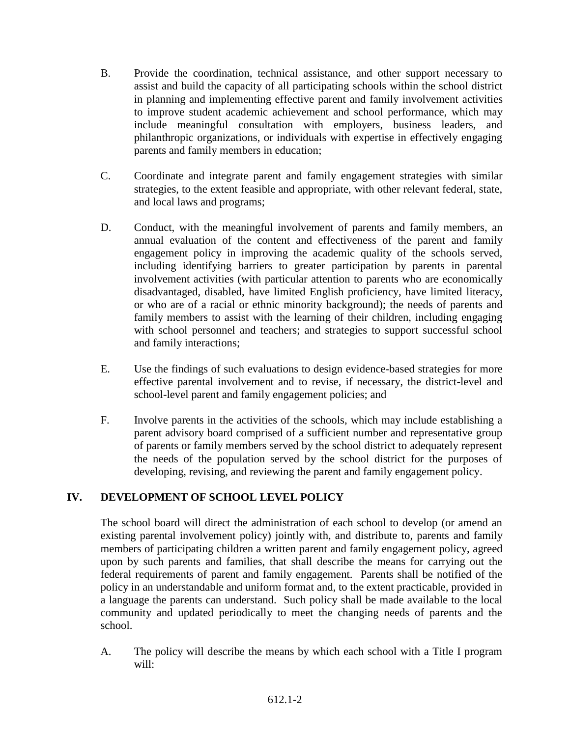- B. Provide the coordination, technical assistance, and other support necessary to assist and build the capacity of all participating schools within the school district in planning and implementing effective parent and family involvement activities to improve student academic achievement and school performance, which may include meaningful consultation with employers, business leaders, and philanthropic organizations, or individuals with expertise in effectively engaging parents and family members in education;
- C. Coordinate and integrate parent and family engagement strategies with similar strategies, to the extent feasible and appropriate, with other relevant federal, state, and local laws and programs;
- D. Conduct, with the meaningful involvement of parents and family members, an annual evaluation of the content and effectiveness of the parent and family engagement policy in improving the academic quality of the schools served, including identifying barriers to greater participation by parents in parental involvement activities (with particular attention to parents who are economically disadvantaged, disabled, have limited English proficiency, have limited literacy, or who are of a racial or ethnic minority background); the needs of parents and family members to assist with the learning of their children, including engaging with school personnel and teachers; and strategies to support successful school and family interactions;
- E. Use the findings of such evaluations to design evidence-based strategies for more effective parental involvement and to revise, if necessary, the district-level and school-level parent and family engagement policies; and
- F. Involve parents in the activities of the schools, which may include establishing a parent advisory board comprised of a sufficient number and representative group of parents or family members served by the school district to adequately represent the needs of the population served by the school district for the purposes of developing, revising, and reviewing the parent and family engagement policy.

# **IV. DEVELOPMENT OF SCHOOL LEVEL POLICY**

The school board will direct the administration of each school to develop (or amend an existing parental involvement policy) jointly with, and distribute to, parents and family members of participating children a written parent and family engagement policy, agreed upon by such parents and families, that shall describe the means for carrying out the federal requirements of parent and family engagement. Parents shall be notified of the policy in an understandable and uniform format and, to the extent practicable, provided in a language the parents can understand. Such policy shall be made available to the local community and updated periodically to meet the changing needs of parents and the school.

A. The policy will describe the means by which each school with a Title I program will: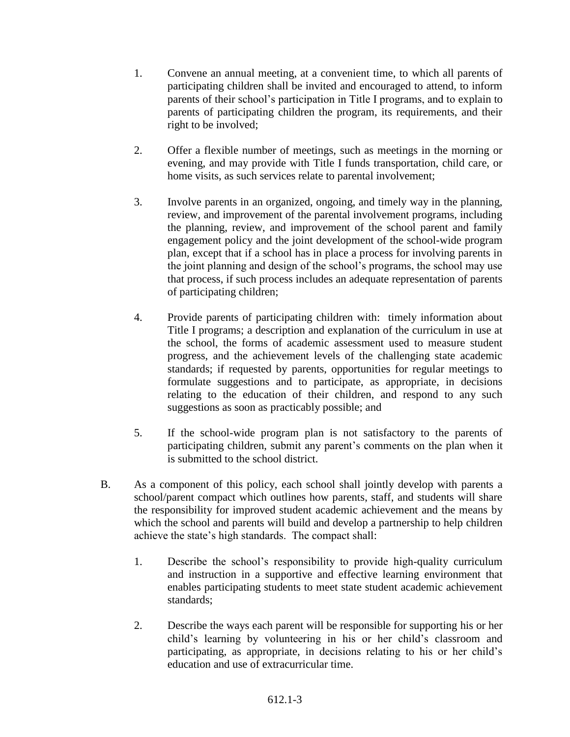- 1. Convene an annual meeting, at a convenient time, to which all parents of participating children shall be invited and encouraged to attend, to inform parents of their school's participation in Title I programs, and to explain to parents of participating children the program, its requirements, and their right to be involved;
- 2. Offer a flexible number of meetings, such as meetings in the morning or evening, and may provide with Title I funds transportation, child care, or home visits, as such services relate to parental involvement;
- 3. Involve parents in an organized, ongoing, and timely way in the planning, review, and improvement of the parental involvement programs, including the planning, review, and improvement of the school parent and family engagement policy and the joint development of the school-wide program plan, except that if a school has in place a process for involving parents in the joint planning and design of the school's programs, the school may use that process, if such process includes an adequate representation of parents of participating children;
- 4. Provide parents of participating children with: timely information about Title I programs; a description and explanation of the curriculum in use at the school, the forms of academic assessment used to measure student progress, and the achievement levels of the challenging state academic standards; if requested by parents, opportunities for regular meetings to formulate suggestions and to participate, as appropriate, in decisions relating to the education of their children, and respond to any such suggestions as soon as practicably possible; and
- 5. If the school-wide program plan is not satisfactory to the parents of participating children, submit any parent's comments on the plan when it is submitted to the school district.
- B. As a component of this policy, each school shall jointly develop with parents a school/parent compact which outlines how parents, staff, and students will share the responsibility for improved student academic achievement and the means by which the school and parents will build and develop a partnership to help children achieve the state's high standards. The compact shall:
	- 1. Describe the school's responsibility to provide high-quality curriculum and instruction in a supportive and effective learning environment that enables participating students to meet state student academic achievement standards;
	- 2. Describe the ways each parent will be responsible for supporting his or her child's learning by volunteering in his or her child's classroom and participating, as appropriate, in decisions relating to his or her child's education and use of extracurricular time.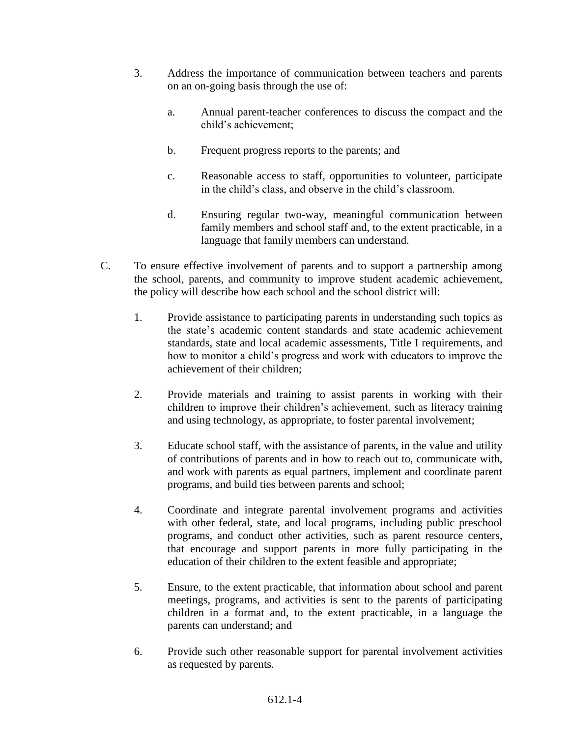- 3. Address the importance of communication between teachers and parents on an on-going basis through the use of:
	- a. Annual parent-teacher conferences to discuss the compact and the child's achievement;
	- b. Frequent progress reports to the parents; and
	- c. Reasonable access to staff, opportunities to volunteer, participate in the child's class, and observe in the child's classroom.
	- d. Ensuring regular two-way, meaningful communication between family members and school staff and, to the extent practicable, in a language that family members can understand.
- C. To ensure effective involvement of parents and to support a partnership among the school, parents, and community to improve student academic achievement, the policy will describe how each school and the school district will:
	- 1. Provide assistance to participating parents in understanding such topics as the state's academic content standards and state academic achievement standards, state and local academic assessments, Title I requirements, and how to monitor a child's progress and work with educators to improve the achievement of their children;
	- 2. Provide materials and training to assist parents in working with their children to improve their children's achievement, such as literacy training and using technology, as appropriate, to foster parental involvement;
	- 3. Educate school staff, with the assistance of parents, in the value and utility of contributions of parents and in how to reach out to, communicate with, and work with parents as equal partners, implement and coordinate parent programs, and build ties between parents and school;
	- 4. Coordinate and integrate parental involvement programs and activities with other federal, state, and local programs, including public preschool programs, and conduct other activities, such as parent resource centers, that encourage and support parents in more fully participating in the education of their children to the extent feasible and appropriate;
	- 5. Ensure, to the extent practicable, that information about school and parent meetings, programs, and activities is sent to the parents of participating children in a format and, to the extent practicable, in a language the parents can understand; and
	- 6. Provide such other reasonable support for parental involvement activities as requested by parents.